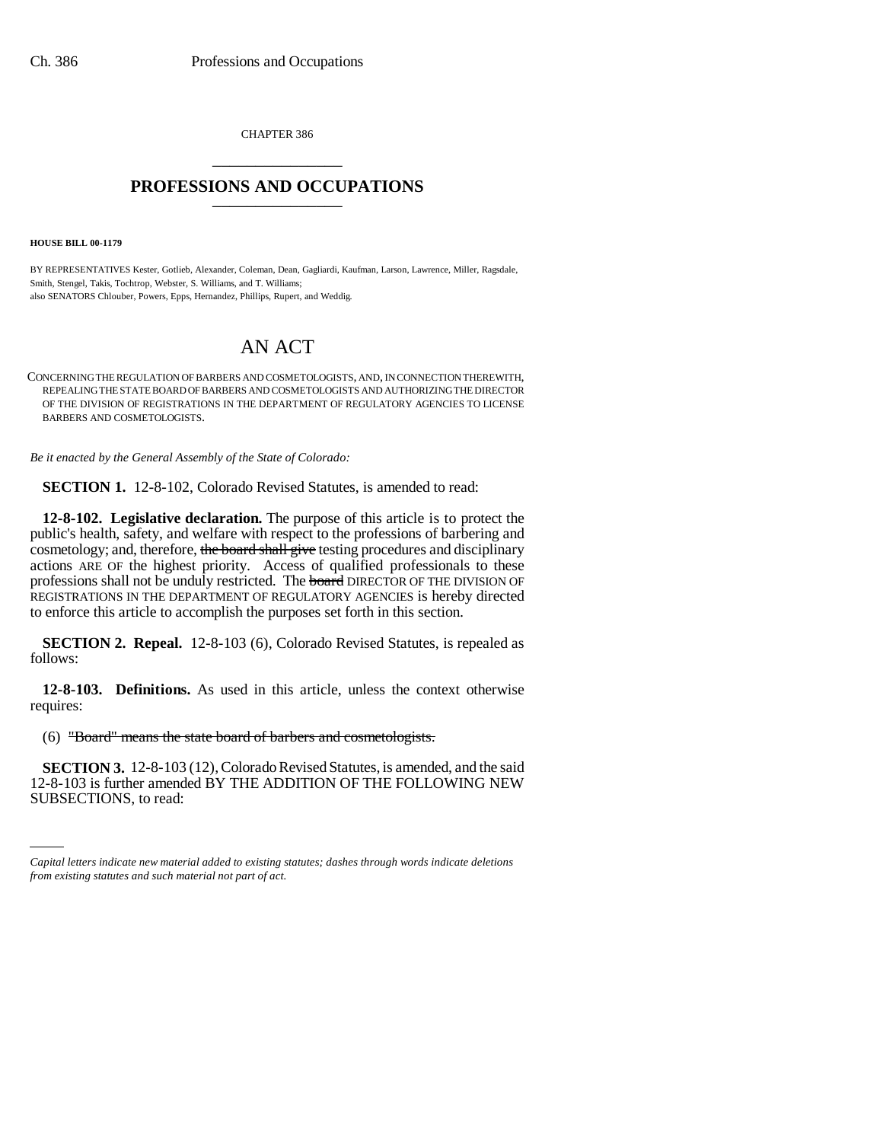CHAPTER 386 \_\_\_\_\_\_\_\_\_\_\_\_\_\_\_

## **PROFESSIONS AND OCCUPATIONS** \_\_\_\_\_\_\_\_\_\_\_\_\_\_\_

**HOUSE BILL 00-1179** 

BY REPRESENTATIVES Kester, Gotlieb, Alexander, Coleman, Dean, Gagliardi, Kaufman, Larson, Lawrence, Miller, Ragsdale, Smith, Stengel, Takis, Tochtrop, Webster, S. Williams, and T. Williams; also SENATORS Chlouber, Powers, Epps, Hernandez, Phillips, Rupert, and Weddig.

## AN ACT

CONCERNING THE REGULATION OF BARBERS AND COSMETOLOGISTS, AND, IN CONNECTION THEREWITH, REPEALING THE STATE BOARD OF BARBERS AND COSMETOLOGISTS AND AUTHORIZING THE DIRECTOR OF THE DIVISION OF REGISTRATIONS IN THE DEPARTMENT OF REGULATORY AGENCIES TO LICENSE BARBERS AND COSMETOLOGISTS.

*Be it enacted by the General Assembly of the State of Colorado:*

**SECTION 1.** 12-8-102, Colorado Revised Statutes, is amended to read:

**12-8-102. Legislative declaration.** The purpose of this article is to protect the public's health, safety, and welfare with respect to the professions of barbering and cosmetology; and, therefore, the board shall give testing procedures and disciplinary actions ARE OF the highest priority. Access of qualified professionals to these professions shall not be unduly restricted. The board DIRECTOR OF THE DIVISION OF REGISTRATIONS IN THE DEPARTMENT OF REGULATORY AGENCIES is hereby directed to enforce this article to accomplish the purposes set forth in this section.

**SECTION 2. Repeal.** 12-8-103 (6), Colorado Revised Statutes, is repealed as follows:

**12-8-103. Definitions.** As used in this article, unless the context otherwise requires:

(6) "Board" means the state board of barbers and cosmetologists.

12-8-103 is further amended BY THE ADDITION OF THE FOLLOWING NEW **SECTION 3.** 12-8-103 (12), Colorado Revised Statutes, is amended, and the said SUBSECTIONS, to read:

*Capital letters indicate new material added to existing statutes; dashes through words indicate deletions from existing statutes and such material not part of act.*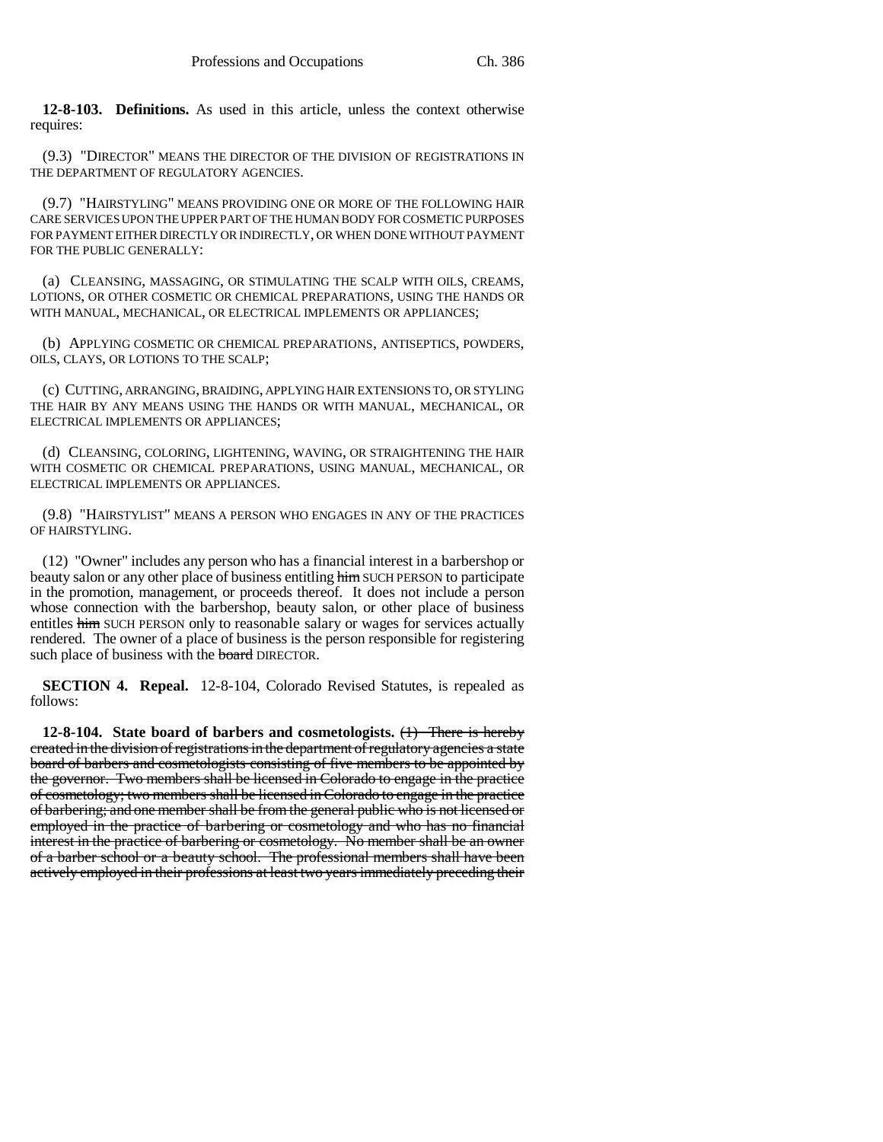**12-8-103. Definitions.** As used in this article, unless the context otherwise requires:

(9.3) "DIRECTOR" MEANS THE DIRECTOR OF THE DIVISION OF REGISTRATIONS IN THE DEPARTMENT OF REGULATORY AGENCIES.

(9.7) "HAIRSTYLING" MEANS PROVIDING ONE OR MORE OF THE FOLLOWING HAIR CARE SERVICES UPON THE UPPER PART OF THE HUMAN BODY FOR COSMETIC PURPOSES FOR PAYMENT EITHER DIRECTLY OR INDIRECTLY, OR WHEN DONE WITHOUT PAYMENT FOR THE PUBLIC GENERALLY:

(a) CLEANSING, MASSAGING, OR STIMULATING THE SCALP WITH OILS, CREAMS, LOTIONS, OR OTHER COSMETIC OR CHEMICAL PREPARATIONS, USING THE HANDS OR WITH MANUAL, MECHANICAL, OR ELECTRICAL IMPLEMENTS OR APPLIANCES;

(b) APPLYING COSMETIC OR CHEMICAL PREPARATIONS, ANTISEPTICS, POWDERS, OILS, CLAYS, OR LOTIONS TO THE SCALP;

(c) CUTTING, ARRANGING, BRAIDING, APPLYING HAIR EXTENSIONS TO, OR STYLING THE HAIR BY ANY MEANS USING THE HANDS OR WITH MANUAL, MECHANICAL, OR ELECTRICAL IMPLEMENTS OR APPLIANCES;

(d) CLEANSING, COLORING, LIGHTENING, WAVING, OR STRAIGHTENING THE HAIR WITH COSMETIC OR CHEMICAL PREPARATIONS, USING MANUAL, MECHANICAL, OR ELECTRICAL IMPLEMENTS OR APPLIANCES.

(9.8) "HAIRSTYLIST" MEANS A PERSON WHO ENGAGES IN ANY OF THE PRACTICES OF HAIRSTYLING.

(12) "Owner" includes any person who has a financial interest in a barbershop or beauty salon or any other place of business entitling him SUCH PERSON to participate in the promotion, management, or proceeds thereof. It does not include a person whose connection with the barbershop, beauty salon, or other place of business entitles him SUCH PERSON only to reasonable salary or wages for services actually rendered. The owner of a place of business is the person responsible for registering such place of business with the board DIRECTOR.

**SECTION 4. Repeal.** 12-8-104, Colorado Revised Statutes, is repealed as follows:

**12-8-104. State board of barbers and cosmetologists.** (1) There is hereby created in the division of registrations in the department of regulatory agencies a state board of barbers and cosmetologists consisting of five members to be appointed by the governor. Two members shall be licensed in Colorado to engage in the practice of cosmetology; two members shall be licensed in Colorado to engage in the practice of barbering; and one member shall be from the general public who is not licensed or employed in the practice of barbering or cosmetology and who has no financial interest in the practice of barbering or cosmetology. No member shall be an owner of a barber school or a beauty school. The professional members shall have been actively employed in their professions at least two years immediately preceding their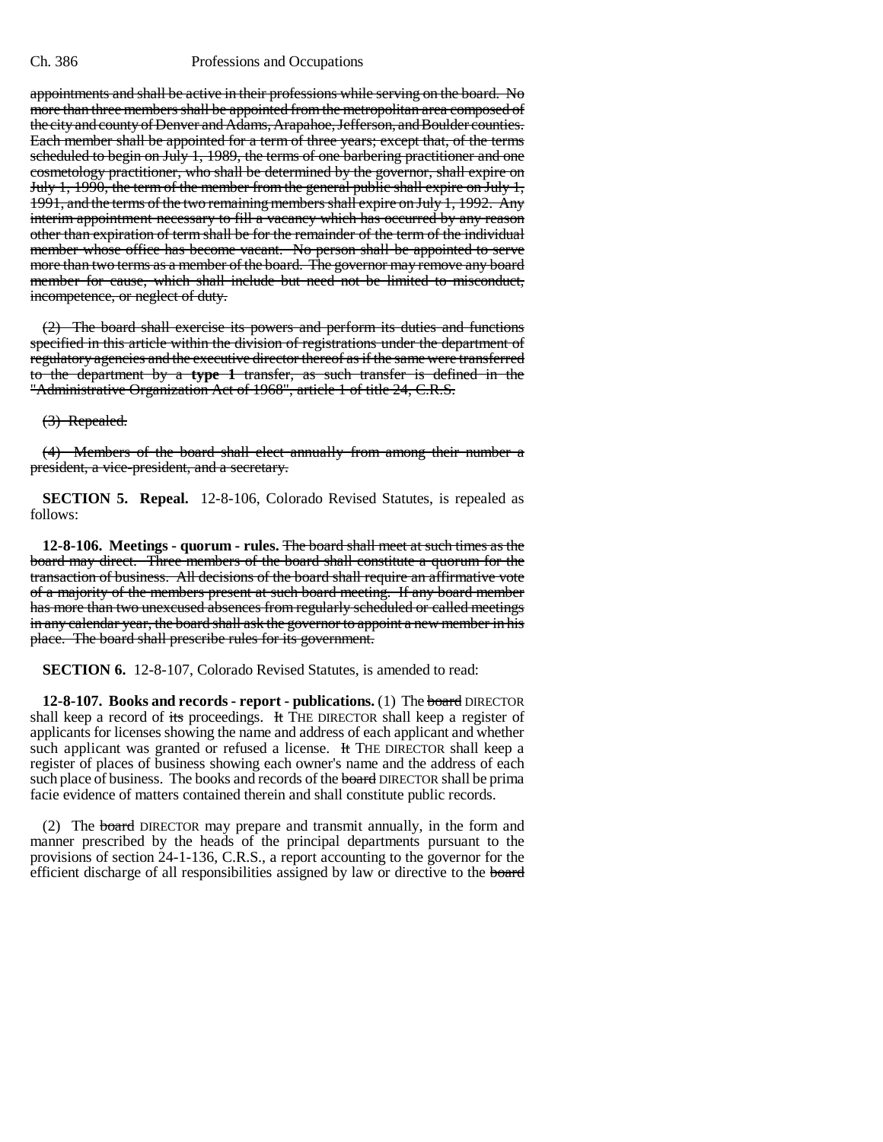## Ch. 386 Professions and Occupations

appointments and shall be active in their professions while serving on the board. No more than three members shall be appointed from the metropolitan area composed of the city and county of Denver and Adams, Arapahoe, Jefferson, and Boulder counties. Each member shall be appointed for a term of three years; except that, of the terms scheduled to begin on July 1, 1989, the terms of one barbering practitioner and one cosmetology practitioner, who shall be determined by the governor, shall expire on July 1, 1990, the term of the member from the general public shall expire on July 1, 1991, and the terms of the two remaining members shall expire on July 1, 1992. Any interim appointment necessary to fill a vacancy which has occurred by any reason other than expiration of term shall be for the remainder of the term of the individual member whose office has become vacant. No person shall be appointed to serve more than two terms as a member of the board. The governor may remove any board member for cause, which shall include but need not be limited to misconduct, incompetence, or neglect of duty.

(2) The board shall exercise its powers and perform its duties and functions specified in this article within the division of registrations under the department of regulatory agencies and the executive director thereof as if the same were transferred to the department by a **type 1** transfer, as such transfer is defined in the "Administrative Organization Act of 1968", article 1 of title 24, C.R.S.

(3) Repealed.

(4) Members of the board shall elect annually from among their number a president, a vice-president, and a secretary.

**SECTION 5. Repeal.** 12-8-106, Colorado Revised Statutes, is repealed as follows:

**12-8-106. Meetings - quorum - rules.** The board shall meet at such times as the board may direct. Three members of the board shall constitute a quorum for the transaction of business. All decisions of the board shall require an affirmative vote of a majority of the members present at such board meeting. If any board member has more than two unexcused absences from regularly scheduled or called meetings in any calendar year, the board shall ask the governor to appoint a new member in his place. The board shall prescribe rules for its government.

**SECTION 6.** 12-8-107, Colorado Revised Statutes, is amended to read:

**12-8-107. Books and records - report - publications.** (1) The board DIRECTOR shall keep a record of its proceedings. It THE DIRECTOR shall keep a register of applicants for licenses showing the name and address of each applicant and whether such applicant was granted or refused a license. It THE DIRECTOR shall keep a register of places of business showing each owner's name and the address of each such place of business. The books and records of the board DIRECTOR shall be prima facie evidence of matters contained therein and shall constitute public records.

(2) The board DIRECTOR may prepare and transmit annually, in the form and manner prescribed by the heads of the principal departments pursuant to the provisions of section 24-1-136, C.R.S., a report accounting to the governor for the efficient discharge of all responsibilities assigned by law or directive to the board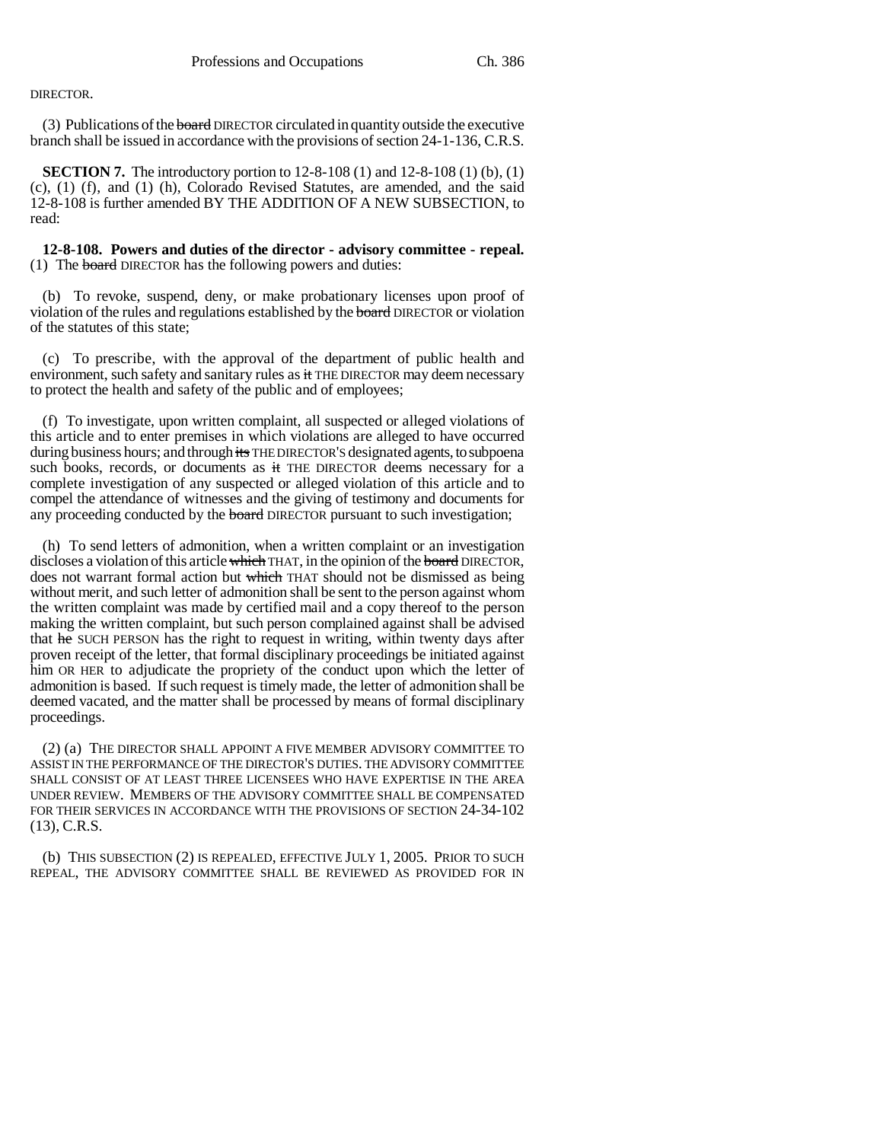## DIRECTOR.

(3) Publications of the board DIRECTOR circulated in quantity outside the executive branch shall be issued in accordance with the provisions of section 24-1-136, C.R.S.

**SECTION 7.** The introductory portion to 12-8-108 (1) and 12-8-108 (1) (b), (1) (c), (1) (f), and (1) (h), Colorado Revised Statutes, are amended, and the said 12-8-108 is further amended BY THE ADDITION OF A NEW SUBSECTION, to read:

**12-8-108. Powers and duties of the director - advisory committee - repeal.** (1) The board DIRECTOR has the following powers and duties:

(b) To revoke, suspend, deny, or make probationary licenses upon proof of violation of the rules and regulations established by the board DIRECTOR or violation of the statutes of this state;

(c) To prescribe, with the approval of the department of public health and environment, such safety and sanitary rules as it THE DIRECTOR may deem necessary to protect the health and safety of the public and of employees;

(f) To investigate, upon written complaint, all suspected or alleged violations of this article and to enter premises in which violations are alleged to have occurred during business hours; and through its THE DIRECTOR'S designated agents, to subpoena such books, records, or documents as it THE DIRECTOR deems necessary for a complete investigation of any suspected or alleged violation of this article and to compel the attendance of witnesses and the giving of testimony and documents for any proceeding conducted by the **board** DIRECTOR pursuant to such investigation;

(h) To send letters of admonition, when a written complaint or an investigation discloses a violation of this article which THAT, in the opinion of the board DIRECTOR, does not warrant formal action but which THAT should not be dismissed as being without merit, and such letter of admonition shall be sent to the person against whom the written complaint was made by certified mail and a copy thereof to the person making the written complaint, but such person complained against shall be advised that he SUCH PERSON has the right to request in writing, within twenty days after proven receipt of the letter, that formal disciplinary proceedings be initiated against him OR HER to adjudicate the propriety of the conduct upon which the letter of admonition is based. If such request is timely made, the letter of admonition shall be deemed vacated, and the matter shall be processed by means of formal disciplinary proceedings.

(2) (a) THE DIRECTOR SHALL APPOINT A FIVE MEMBER ADVISORY COMMITTEE TO ASSIST IN THE PERFORMANCE OF THE DIRECTOR'S DUTIES. THE ADVISORY COMMITTEE SHALL CONSIST OF AT LEAST THREE LICENSEES WHO HAVE EXPERTISE IN THE AREA UNDER REVIEW. MEMBERS OF THE ADVISORY COMMITTEE SHALL BE COMPENSATED FOR THEIR SERVICES IN ACCORDANCE WITH THE PROVISIONS OF SECTION 24-34-102 (13), C.R.S.

(b) THIS SUBSECTION (2) IS REPEALED, EFFECTIVE JULY 1, 2005. PRIOR TO SUCH REPEAL, THE ADVISORY COMMITTEE SHALL BE REVIEWED AS PROVIDED FOR IN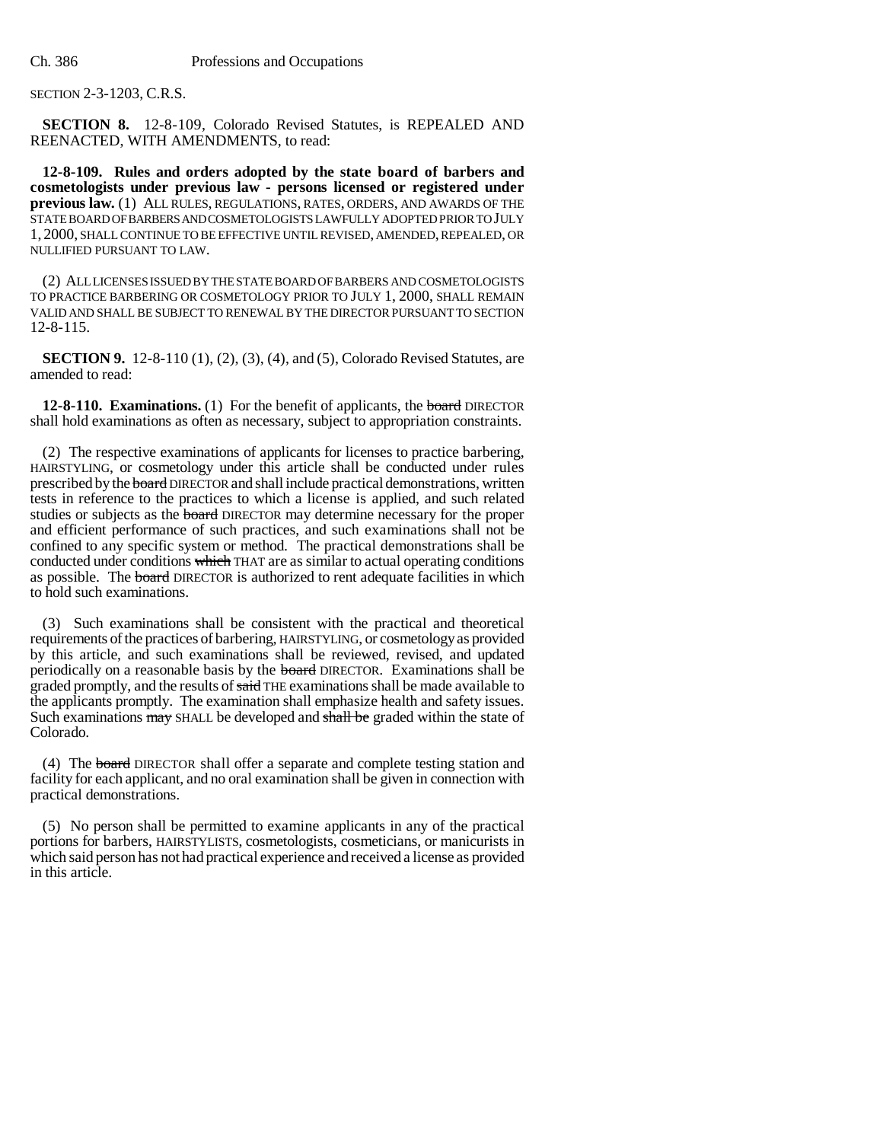SECTION 2-3-1203, C.R.S.

**SECTION 8.** 12-8-109, Colorado Revised Statutes, is REPEALED AND REENACTED, WITH AMENDMENTS, to read:

**12-8-109. Rules and orders adopted by the state board of barbers and cosmetologists under previous law - persons licensed or registered under previous law.** (1) ALL RULES, REGULATIONS, RATES, ORDERS, AND AWARDS OF THE STATE BOARD OF BARBERS AND COSMETOLOGISTS LAWFULLY ADOPTED PRIOR TO JULY 1, 2000, SHALL CONTINUE TO BE EFFECTIVE UNTIL REVISED, AMENDED, REPEALED, OR NULLIFIED PURSUANT TO LAW.

(2) ALL LICENSES ISSUED BY THE STATE BOARD OF BARBERS AND COSMETOLOGISTS TO PRACTICE BARBERING OR COSMETOLOGY PRIOR TO JULY 1, 2000, SHALL REMAIN VALID AND SHALL BE SUBJECT TO RENEWAL BY THE DIRECTOR PURSUANT TO SECTION 12-8-115.

**SECTION 9.** 12-8-110 (1), (2), (3), (4), and (5), Colorado Revised Statutes, are amended to read:

**12-8-110. Examinations.** (1) For the benefit of applicants, the **board** DIRECTOR shall hold examinations as often as necessary, subject to appropriation constraints.

(2) The respective examinations of applicants for licenses to practice barbering, HAIRSTYLING, or cosmetology under this article shall be conducted under rules prescribed by the board DIRECTOR and shall include practical demonstrations, written tests in reference to the practices to which a license is applied, and such related studies or subjects as the **board** DIRECTOR may determine necessary for the proper and efficient performance of such practices, and such examinations shall not be confined to any specific system or method. The practical demonstrations shall be conducted under conditions which THAT are as similar to actual operating conditions as possible. The **board** DIRECTOR is authorized to rent adequate facilities in which to hold such examinations.

(3) Such examinations shall be consistent with the practical and theoretical requirements of the practices of barbering, HAIRSTYLING, or cosmetology as provided by this article, and such examinations shall be reviewed, revised, and updated periodically on a reasonable basis by the board DIRECTOR. Examinations shall be graded promptly, and the results of said THE examinations shall be made available to the applicants promptly. The examination shall emphasize health and safety issues. Such examinations may SHALL be developed and shall be graded within the state of Colorado.

(4) The board DIRECTOR shall offer a separate and complete testing station and facility for each applicant, and no oral examination shall be given in connection with practical demonstrations.

(5) No person shall be permitted to examine applicants in any of the practical portions for barbers, HAIRSTYLISTS, cosmetologists, cosmeticians, or manicurists in which said person has not had practical experience and received a license as provided in this article.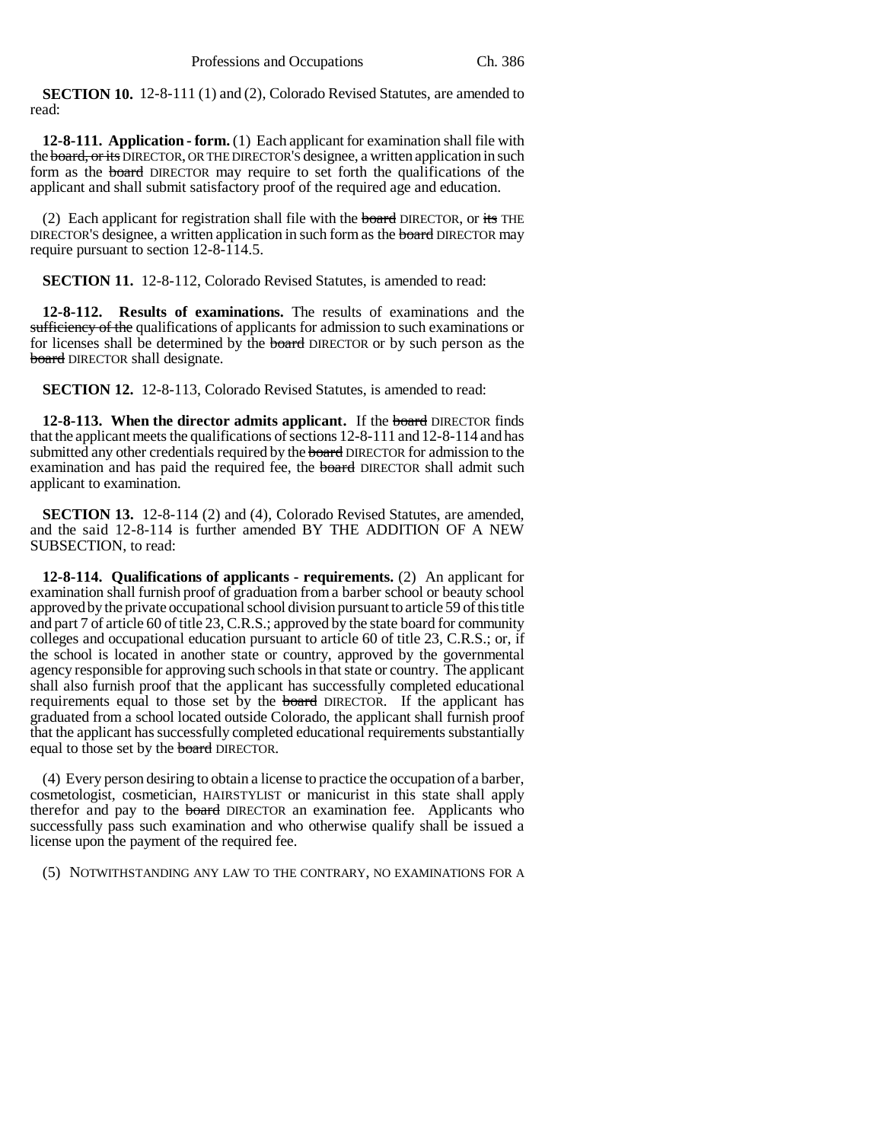**SECTION 10.** 12-8-111 (1) and (2), Colorado Revised Statutes, are amended to read:

**12-8-111. Application - form.** (1) Each applicant for examination shall file with the board, or its DIRECTOR, OR THE DIRECTOR'S designee, a written application in such form as the board DIRECTOR may require to set forth the qualifications of the applicant and shall submit satisfactory proof of the required age and education.

(2) Each applicant for registration shall file with the board DIRECTOR, or its THE DIRECTOR'S designee, a written application in such form as the board DIRECTOR may require pursuant to section 12-8-114.5.

**SECTION 11.** 12-8-112, Colorado Revised Statutes, is amended to read:

**12-8-112. Results of examinations.** The results of examinations and the sufficiency of the qualifications of applicants for admission to such examinations or for licenses shall be determined by the board DIRECTOR or by such person as the board DIRECTOR shall designate.

**SECTION 12.** 12-8-113, Colorado Revised Statutes, is amended to read:

**12-8-113. When the director admits applicant.** If the **board** DIRECTOR finds that the applicant meets the qualifications of sections 12-8-111 and 12-8-114 and has submitted any other credentials required by the **board** DIRECTOR for admission to the examination and has paid the required fee, the **board** DIRECTOR shall admit such applicant to examination.

**SECTION 13.** 12-8-114 (2) and (4), Colorado Revised Statutes, are amended, and the said 12-8-114 is further amended BY THE ADDITION OF A NEW SUBSECTION, to read:

**12-8-114. Qualifications of applicants - requirements.** (2) An applicant for examination shall furnish proof of graduation from a barber school or beauty school approved by the private occupational school division pursuant to article 59 of this title and part 7 of article 60 of title 23, C.R.S.; approved by the state board for community colleges and occupational education pursuant to article 60 of title 23, C.R.S.; or, if the school is located in another state or country, approved by the governmental agency responsible for approving such schools in that state or country. The applicant shall also furnish proof that the applicant has successfully completed educational requirements equal to those set by the **board** DIRECTOR. If the applicant has graduated from a school located outside Colorado, the applicant shall furnish proof that the applicant has successfully completed educational requirements substantially equal to those set by the **board** DIRECTOR.

(4) Every person desiring to obtain a license to practice the occupation of a barber, cosmetologist, cosmetician, HAIRSTYLIST or manicurist in this state shall apply therefor and pay to the board DIRECTOR an examination fee. Applicants who successfully pass such examination and who otherwise qualify shall be issued a license upon the payment of the required fee.

(5) NOTWITHSTANDING ANY LAW TO THE CONTRARY, NO EXAMINATIONS FOR A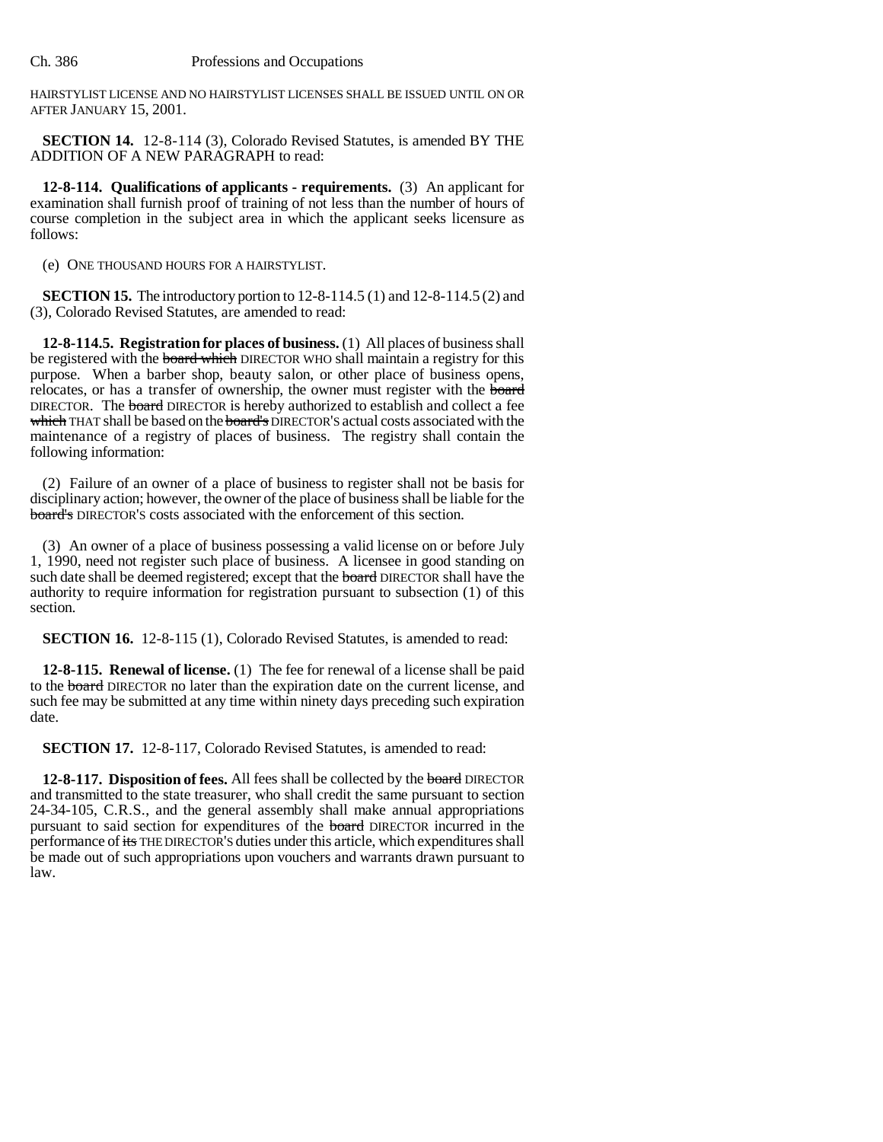HAIRSTYLIST LICENSE AND NO HAIRSTYLIST LICENSES SHALL BE ISSUED UNTIL ON OR AFTER JANUARY 15, 2001.

**SECTION 14.** 12-8-114 (3), Colorado Revised Statutes, is amended BY THE ADDITION OF A NEW PARAGRAPH to read:

**12-8-114. Qualifications of applicants - requirements.** (3) An applicant for examination shall furnish proof of training of not less than the number of hours of course completion in the subject area in which the applicant seeks licensure as follows:

(e) ONE THOUSAND HOURS FOR A HAIRSTYLIST.

**SECTION 15.** The introductory portion to 12-8-114.5 (1) and 12-8-114.5 (2) and (3), Colorado Revised Statutes, are amended to read:

**12-8-114.5. Registration for places of business.** (1) All places of business shall be registered with the **board which** DIRECTOR WHO shall maintain a registry for this purpose. When a barber shop, beauty salon, or other place of business opens, relocates, or has a transfer of ownership, the owner must register with the board DIRECTOR. The **board** DIRECTOR is hereby authorized to establish and collect a fee which THAT shall be based on the board's DIRECTOR'S actual costs associated with the maintenance of a registry of places of business. The registry shall contain the following information:

(2) Failure of an owner of a place of business to register shall not be basis for disciplinary action; however, the owner of the place of business shall be liable for the board's DIRECTOR'S costs associated with the enforcement of this section.

(3) An owner of a place of business possessing a valid license on or before July 1, 1990, need not register such place of business. A licensee in good standing on such date shall be deemed registered; except that the board DIRECTOR shall have the authority to require information for registration pursuant to subsection (1) of this section.

**SECTION 16.** 12-8-115 (1), Colorado Revised Statutes, is amended to read:

**12-8-115. Renewal of license.** (1) The fee for renewal of a license shall be paid to the board DIRECTOR no later than the expiration date on the current license, and such fee may be submitted at any time within ninety days preceding such expiration date.

**SECTION 17.** 12-8-117, Colorado Revised Statutes, is amended to read:

**12-8-117. Disposition of fees.** All fees shall be collected by the board DIRECTOR and transmitted to the state treasurer, who shall credit the same pursuant to section 24-34-105, C.R.S., and the general assembly shall make annual appropriations pursuant to said section for expenditures of the board DIRECTOR incurred in the performance of its THE DIRECTOR'S duties under this article, which expenditures shall be made out of such appropriations upon vouchers and warrants drawn pursuant to law.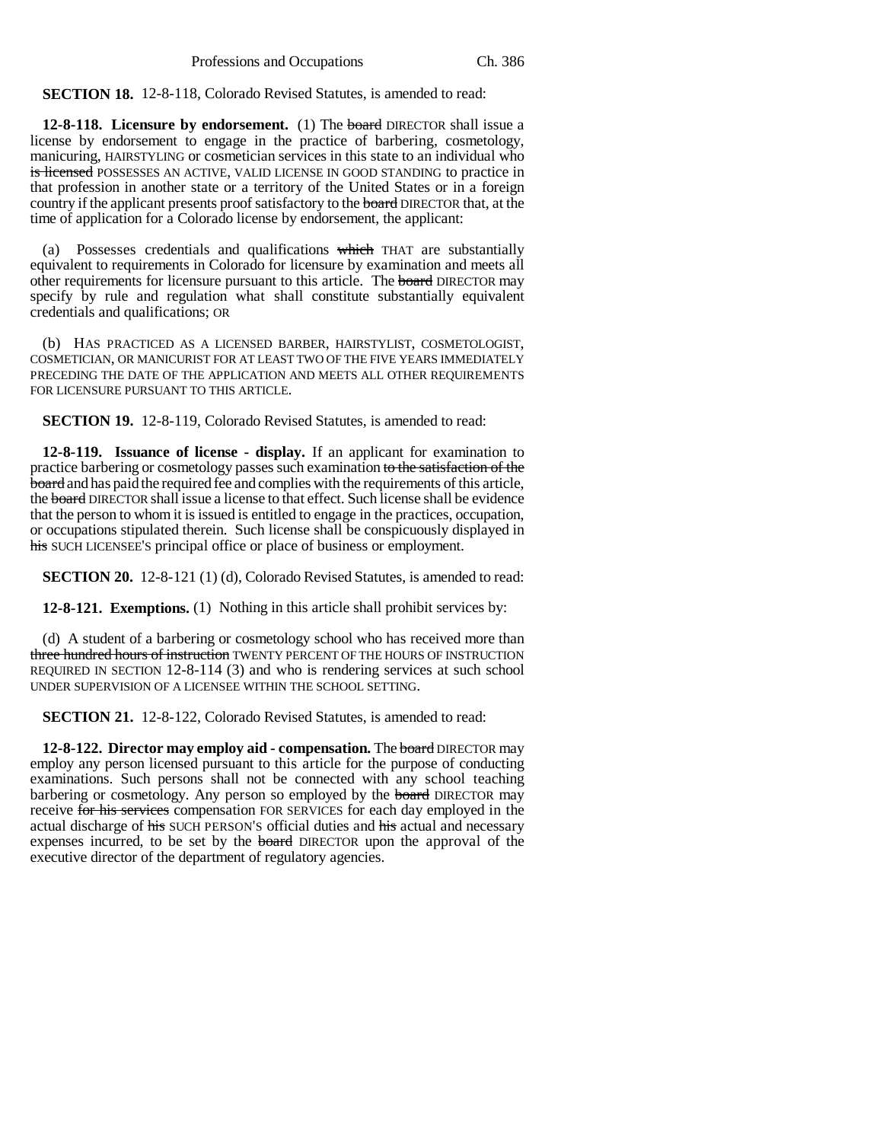**SECTION 18.** 12-8-118, Colorado Revised Statutes, is amended to read:

**12-8-118. Licensure by endorsement.** (1) The board DIRECTOR shall issue a license by endorsement to engage in the practice of barbering, cosmetology, manicuring, HAIRSTYLING or cosmetician services in this state to an individual who is licensed POSSESSES AN ACTIVE, VALID LICENSE IN GOOD STANDING to practice in that profession in another state or a territory of the United States or in a foreign country if the applicant presents proof satisfactory to the board DIRECTOR that, at the time of application for a Colorado license by endorsement, the applicant:

(a) Possesses credentials and qualifications which THAT are substantially equivalent to requirements in Colorado for licensure by examination and meets all other requirements for licensure pursuant to this article. The board DIRECTOR may specify by rule and regulation what shall constitute substantially equivalent credentials and qualifications; OR

(b) HAS PRACTICED AS A LICENSED BARBER, HAIRSTYLIST, COSMETOLOGIST, COSMETICIAN, OR MANICURIST FOR AT LEAST TWO OF THE FIVE YEARS IMMEDIATELY PRECEDING THE DATE OF THE APPLICATION AND MEETS ALL OTHER REQUIREMENTS FOR LICENSURE PURSUANT TO THIS ARTICLE.

**SECTION 19.** 12-8-119, Colorado Revised Statutes, is amended to read:

**12-8-119. Issuance of license - display.** If an applicant for examination to practice barbering or cosmetology passes such examination to the satisfaction of the board and has paid the required fee and complies with the requirements of this article, the board DIRECTOR shall issue a license to that effect. Such license shall be evidence that the person to whom it is issued is entitled to engage in the practices, occupation, or occupations stipulated therein. Such license shall be conspicuously displayed in his SUCH LICENSEE'S principal office or place of business or employment.

**SECTION 20.** 12-8-121 (1) (d), Colorado Revised Statutes, is amended to read:

**12-8-121. Exemptions.** (1) Nothing in this article shall prohibit services by:

(d) A student of a barbering or cosmetology school who has received more than three hundred hours of instruction TWENTY PERCENT OF THE HOURS OF INSTRUCTION REQUIRED IN SECTION 12-8-114 (3) and who is rendering services at such school UNDER SUPERVISION OF A LICENSEE WITHIN THE SCHOOL SETTING.

**SECTION 21.** 12-8-122, Colorado Revised Statutes, is amended to read:

**12-8-122. Director may employ aid - compensation.** The board DIRECTOR may employ any person licensed pursuant to this article for the purpose of conducting examinations. Such persons shall not be connected with any school teaching barbering or cosmetology. Any person so employed by the board DIRECTOR may receive for his services compensation FOR SERVICES for each day employed in the actual discharge of his SUCH PERSON'S official duties and his actual and necessary expenses incurred, to be set by the board DIRECTOR upon the approval of the executive director of the department of regulatory agencies.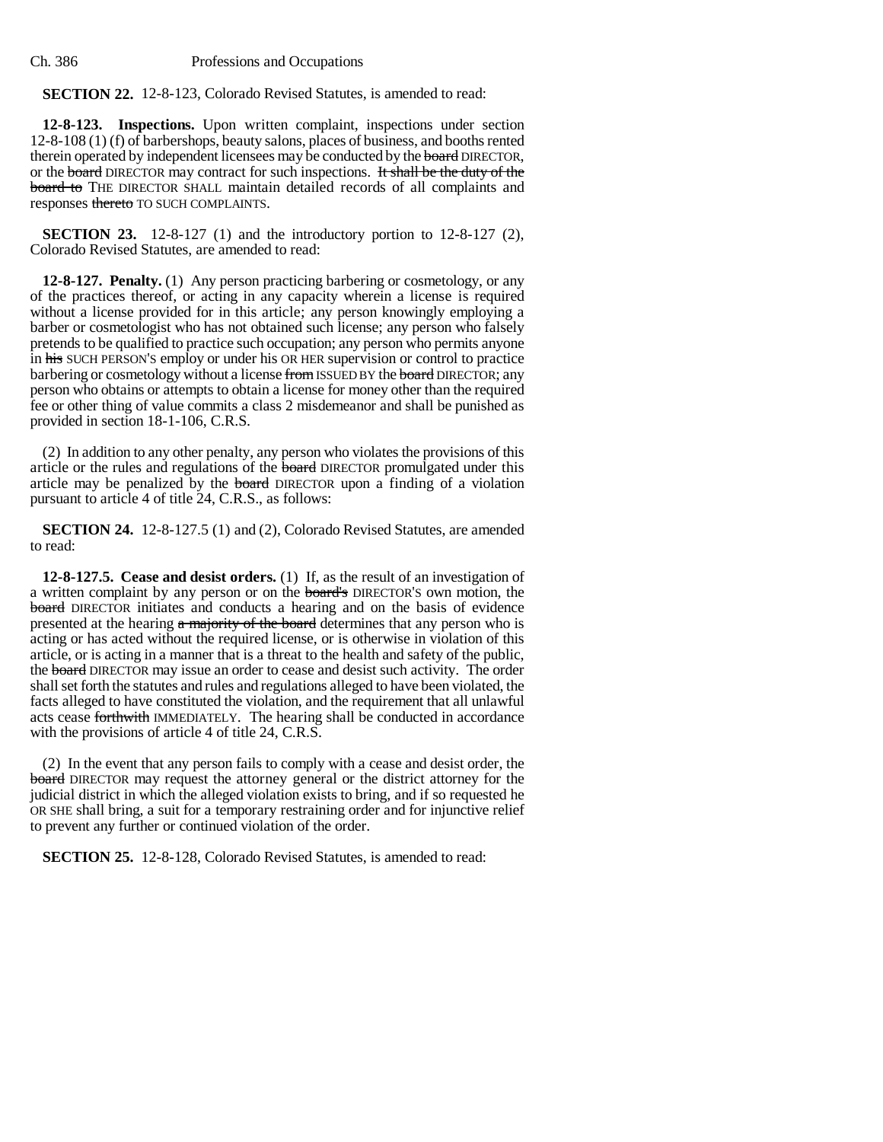Ch. 386 Professions and Occupations

**SECTION 22.** 12-8-123, Colorado Revised Statutes, is amended to read:

**12-8-123. Inspections.** Upon written complaint, inspections under section 12-8-108 (1) (f) of barbershops, beauty salons, places of business, and booths rented therein operated by independent licensees may be conducted by the **board** DIRECTOR, or the board DIRECTOR may contract for such inspections. It shall be the duty of the board to THE DIRECTOR SHALL maintain detailed records of all complaints and responses thereto TO SUCH COMPLAINTS.

**SECTION 23.** 12-8-127 (1) and the introductory portion to 12-8-127 (2), Colorado Revised Statutes, are amended to read:

**12-8-127. Penalty.** (1) Any person practicing barbering or cosmetology, or any of the practices thereof, or acting in any capacity wherein a license is required without a license provided for in this article; any person knowingly employing a barber or cosmetologist who has not obtained such license; any person who falsely pretends to be qualified to practice such occupation; any person who permits anyone in his SUCH PERSON'S employ or under his OR HER supervision or control to practice barbering or cosmetology without a license from ISSUED BY the board DIRECTOR; any person who obtains or attempts to obtain a license for money other than the required fee or other thing of value commits a class 2 misdemeanor and shall be punished as provided in section 18-1-106, C.R.S.

(2) In addition to any other penalty, any person who violates the provisions of this article or the rules and regulations of the board DIRECTOR promulgated under this article may be penalized by the **board** DIRECTOR upon a finding of a violation pursuant to article 4 of title 24, C.R.S., as follows:

**SECTION 24.** 12-8-127.5 (1) and (2), Colorado Revised Statutes, are amended to read:

**12-8-127.5. Cease and desist orders.** (1) If, as the result of an investigation of a written complaint by any person or on the board's DIRECTOR'S own motion, the board DIRECTOR initiates and conducts a hearing and on the basis of evidence presented at the hearing a majority of the board determines that any person who is acting or has acted without the required license, or is otherwise in violation of this article, or is acting in a manner that is a threat to the health and safety of the public, the board DIRECTOR may issue an order to cease and desist such activity. The order shall set forth the statutes and rules and regulations alleged to have been violated, the facts alleged to have constituted the violation, and the requirement that all unlawful acts cease forthwith IMMEDIATELY. The hearing shall be conducted in accordance with the provisions of article 4 of title 24, C.R.S.

(2) In the event that any person fails to comply with a cease and desist order, the board DIRECTOR may request the attorney general or the district attorney for the judicial district in which the alleged violation exists to bring, and if so requested he OR SHE shall bring, a suit for a temporary restraining order and for injunctive relief to prevent any further or continued violation of the order.

**SECTION 25.** 12-8-128, Colorado Revised Statutes, is amended to read: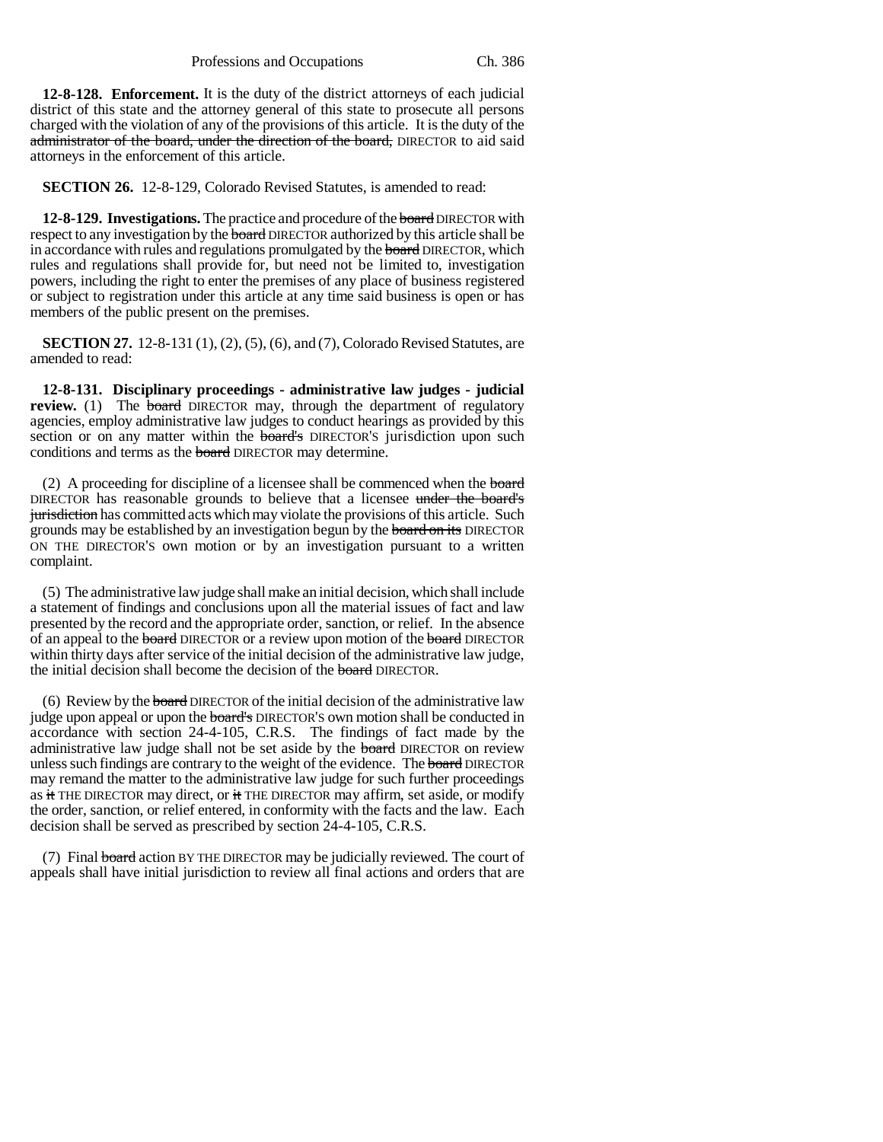**12-8-128. Enforcement.** It is the duty of the district attorneys of each judicial district of this state and the attorney general of this state to prosecute all persons charged with the violation of any of the provisions of this article. It is the duty of the administrator of the board, under the direction of the board, DIRECTOR to aid said attorneys in the enforcement of this article.

**SECTION 26.** 12-8-129, Colorado Revised Statutes, is amended to read:

**12-8-129. Investigations.** The practice and procedure of the **board** DIRECTOR with respect to any investigation by the **board** DIRECTOR authorized by this article shall be in accordance with rules and regulations promulgated by the board DIRECTOR, which rules and regulations shall provide for, but need not be limited to, investigation powers, including the right to enter the premises of any place of business registered or subject to registration under this article at any time said business is open or has members of the public present on the premises.

**SECTION 27.** 12-8-131 (1), (2), (5), (6), and (7), Colorado Revised Statutes, are amended to read:

**12-8-131. Disciplinary proceedings - administrative law judges - judicial review.** (1) The **board** DIRECTOR may, through the department of regulatory agencies, employ administrative law judges to conduct hearings as provided by this section or on any matter within the **board's** DIRECTOR'S jurisdiction upon such conditions and terms as the **board** DIRECTOR may determine.

(2) A proceeding for discipline of a licensee shall be commenced when the board DIRECTOR has reasonable grounds to believe that a licensee under the board's jurisdiction has committed acts which may violate the provisions of this article. Such grounds may be established by an investigation begun by the **board on its** DIRECTOR ON THE DIRECTOR'S own motion or by an investigation pursuant to a written complaint.

(5) The administrative law judge shall make an initial decision, which shall include a statement of findings and conclusions upon all the material issues of fact and law presented by the record and the appropriate order, sanction, or relief. In the absence of an appeal to the board DIRECTOR or a review upon motion of the board DIRECTOR within thirty days after service of the initial decision of the administrative law judge, the initial decision shall become the decision of the board DIRECTOR.

(6) Review by the board DIRECTOR of the initial decision of the administrative law judge upon appeal or upon the board's DIRECTOR'S own motion shall be conducted in accordance with section 24-4-105, C.R.S. The findings of fact made by the administrative law judge shall not be set aside by the **board** DIRECTOR on review unless such findings are contrary to the weight of the evidence. The board DIRECTOR may remand the matter to the administrative law judge for such further proceedings as it THE DIRECTOR may direct, or it THE DIRECTOR may affirm, set aside, or modify the order, sanction, or relief entered, in conformity with the facts and the law. Each decision shall be served as prescribed by section 24-4-105, C.R.S.

(7) Final **board** action BY THE DIRECTOR may be judicially reviewed. The court of appeals shall have initial jurisdiction to review all final actions and orders that are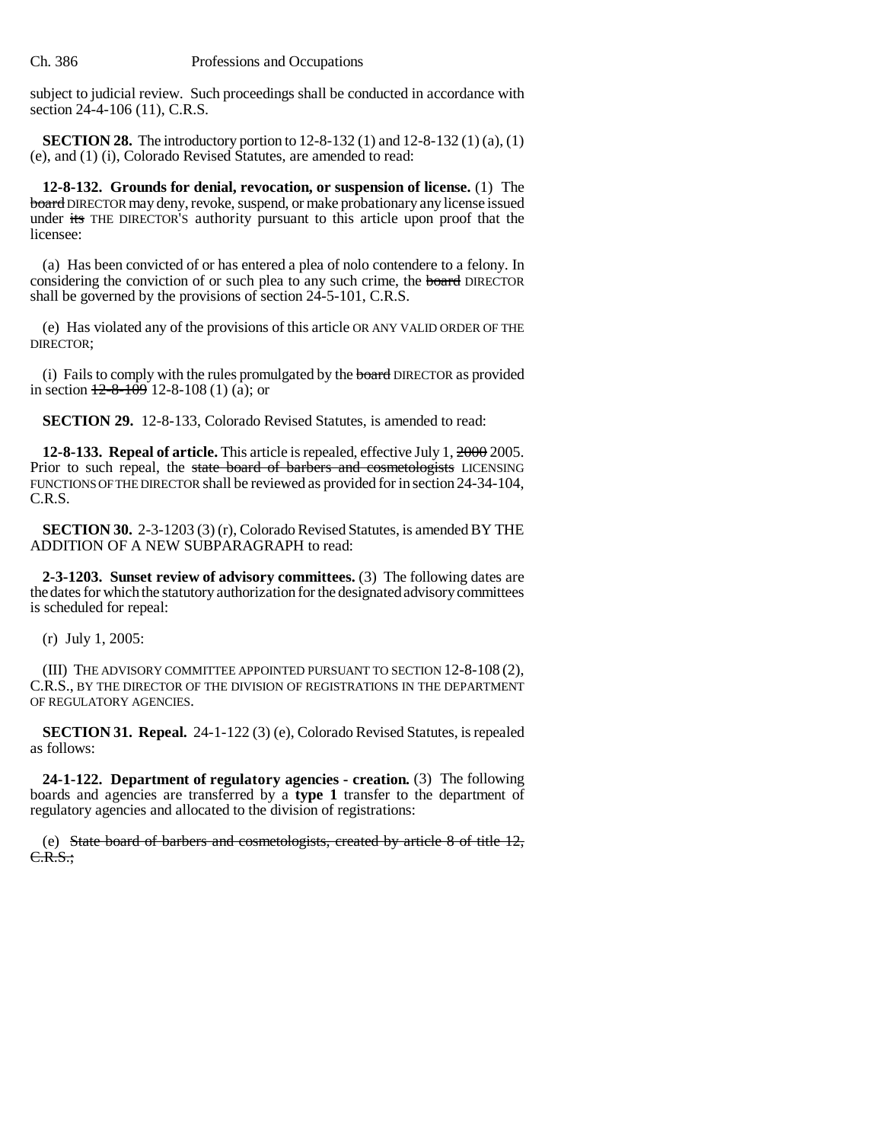subject to judicial review. Such proceedings shall be conducted in accordance with section 24-4-106 (11), C.R.S.

**SECTION 28.** The introductory portion to 12-8-132 (1) and 12-8-132 (1) (a), (1) (e), and (1) (i), Colorado Revised Statutes, are amended to read:

**12-8-132. Grounds for denial, revocation, or suspension of license.** (1) The board DIRECTOR may deny, revoke, suspend, or make probationary any license issued under its THE DIRECTOR'S authority pursuant to this article upon proof that the licensee:

(a) Has been convicted of or has entered a plea of nolo contendere to a felony. In considering the conviction of or such plea to any such crime, the board DIRECTOR shall be governed by the provisions of section 24-5-101, C.R.S.

(e) Has violated any of the provisions of this article OR ANY VALID ORDER OF THE DIRECTOR;

(i) Fails to comply with the rules promulgated by the **board** DIRECTOR as provided in section  $\frac{12-8-109}{2}$  12-8-108 (1) (a); or

**SECTION 29.** 12-8-133, Colorado Revised Statutes, is amended to read:

**12-8-133. Repeal of article.** This article is repealed, effective July 1, 2000 2005. Prior to such repeal, the state board of barbers and cosmetologists LICENSING FUNCTIONS OF THE DIRECTOR shall be reviewed as provided for in section 24-34-104, C.R.S.

**SECTION 30.** 2-3-1203 (3) (r), Colorado Revised Statutes, is amended BY THE ADDITION OF A NEW SUBPARAGRAPH to read:

**2-3-1203. Sunset review of advisory committees.** (3) The following dates are the dates for which the statutory authorization for the designated advisory committees is scheduled for repeal:

(r) July 1, 2005:

(III) THE ADVISORY COMMITTEE APPOINTED PURSUANT TO SECTION 12-8-108 (2), C.R.S., BY THE DIRECTOR OF THE DIVISION OF REGISTRATIONS IN THE DEPARTMENT OF REGULATORY AGENCIES.

**SECTION 31. Repeal.** 24-1-122 (3) (e), Colorado Revised Statutes, is repealed as follows:

**24-1-122. Department of regulatory agencies - creation.** (3) The following boards and agencies are transferred by a **type 1** transfer to the department of regulatory agencies and allocated to the division of registrations:

(e) State board of barbers and cosmetologists, created by article 8 of title 12, C.R.S.;